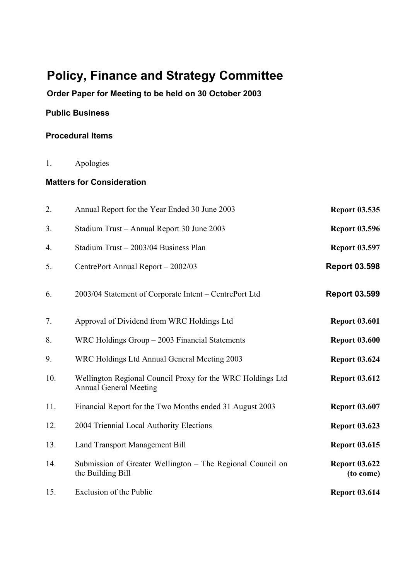# **Policy, Finance and Strategy Committee**

**Order Paper for Meeting to be held on 30 October 2003**

# **Public Business**

#### **Procedural Items**

1. Apologies

## **Matters for Consideration**

| 2.  | Annual Report for the Year Ended 30 June 2003                                               | <b>Report 03.535</b>              |
|-----|---------------------------------------------------------------------------------------------|-----------------------------------|
| 3.  | Stadium Trust - Annual Report 30 June 2003                                                  | <b>Report 03.596</b>              |
| 4.  | Stadium Trust - 2003/04 Business Plan                                                       | <b>Report 03.597</b>              |
| 5.  | CentrePort Annual Report - 2002/03                                                          | <b>Report 03.598</b>              |
| 6.  | 2003/04 Statement of Corporate Intent – CentrePort Ltd                                      | <b>Report 03.599</b>              |
| 7.  | Approval of Dividend from WRC Holdings Ltd                                                  | <b>Report 03.601</b>              |
| 8.  | $WRC$ Holdings Group $-2003$ Financial Statements                                           | <b>Report 03.600</b>              |
| 9.  | WRC Holdings Ltd Annual General Meeting 2003                                                | <b>Report 03.624</b>              |
| 10. | Wellington Regional Council Proxy for the WRC Holdings Ltd<br><b>Annual General Meeting</b> | <b>Report 03.612</b>              |
| 11. | Financial Report for the Two Months ended 31 August 2003                                    | <b>Report 03.607</b>              |
| 12. | 2004 Triennial Local Authority Elections                                                    | <b>Report 03.623</b>              |
| 13. | <b>Land Transport Management Bill</b>                                                       | <b>Report 03.615</b>              |
| 14. | Submission of Greater Wellington - The Regional Council on<br>the Building Bill             | <b>Report 03.622</b><br>(to come) |
| 15. | Exclusion of the Public                                                                     | <b>Report 03.614</b>              |